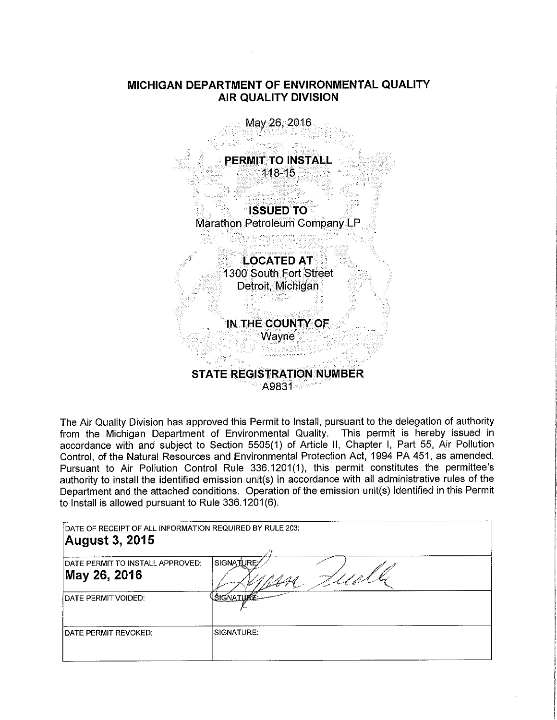# **MICHIGAN DEPARTMENT OF ENVIRONMENTAL QUALITY AIR QUALITY DIVISION**

May 26, 2016 **PERMIT TO INSTALL** 118-15 . **ISSUED TO** . Marathon Petroleum Company LF **LOCATED AT**  $1300$  South Fort Street Detroit, Michigan **IN THE COUNTY OF Wayne STATE REGISTRATION.NUMBER**  A9831

The Air Quality Division has approved this Permit to Install, pursuant to the delegation of authority from the Michigan Department of Environmental Quality. This permit is hereby issued in accordance with and subject to Section 5505(1) of Article II, Chapter I, Part 55, Air Pollution Control, of the Natural Resources and Environmental Protection Act, 1994 PA 451, as amended. Pursuant to Air Pollution Control Rule 336.1201(1), this permit constitutes the permittee's authority to install the identified emission unit(s) in accordance with all administrative rules of the Department and the attached conditions. Operation of the emission unit(s) identified in this Permit to Install is allowed pursuant to Rule 336.1201(6).

| DATE OF RECEIPT OF ALL INFORMATION REQUIRED BY RULE 203:<br>August 3, 2015 |                      |
|----------------------------------------------------------------------------|----------------------|
| IDATE PERMIT TO INSTALL APPROVED:<br>May 26, 2016                          | <b>SIGNATURE</b>     |
| I DATE PERMIT VOIDED:                                                      | L <u>SIGNATU</u> RE- |
| DATE PERMIT REVOKED:                                                       | SIGNATURE:           |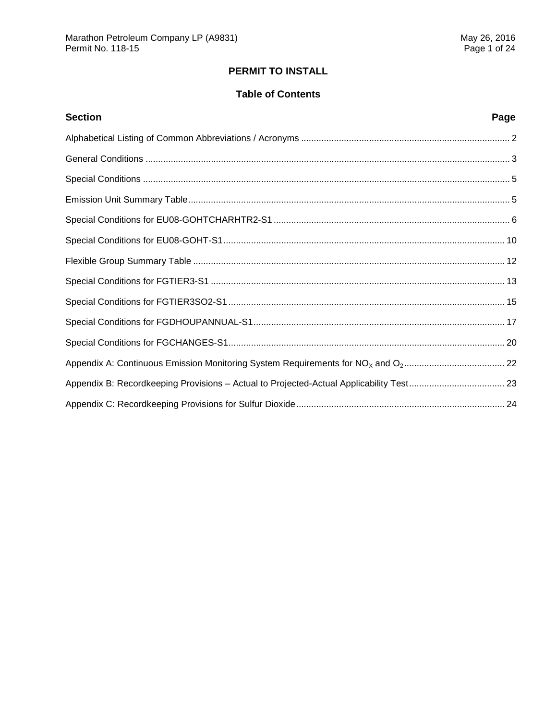# **PERMIT TO INSTALL**

# **Table of Contents**

| <b>Section</b>                                                                          | Page |
|-----------------------------------------------------------------------------------------|------|
|                                                                                         |      |
|                                                                                         |      |
|                                                                                         |      |
|                                                                                         |      |
|                                                                                         |      |
|                                                                                         |      |
|                                                                                         |      |
|                                                                                         |      |
|                                                                                         |      |
|                                                                                         |      |
|                                                                                         |      |
|                                                                                         |      |
| Appendix B: Recordkeeping Provisions - Actual to Projected-Actual Applicability Test 23 |      |
|                                                                                         |      |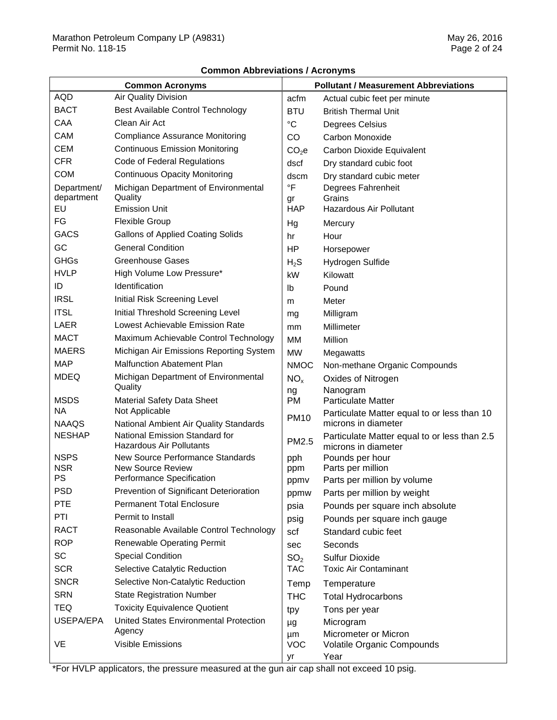## **Common Abbreviations / Acronyms**

| <b>Common Acronyms</b> |                                                                   |                   | <b>Pollutant / Measurement Abbreviations</b>                        |
|------------------------|-------------------------------------------------------------------|-------------------|---------------------------------------------------------------------|
| <b>AQD</b>             | Air Quality Division                                              | acfm              | Actual cubic feet per minute                                        |
| <b>BACT</b>            | Best Available Control Technology                                 | <b>BTU</b>        | <b>British Thermal Unit</b>                                         |
| CAA                    | Clean Air Act                                                     | $^{\circ}C$       | Degrees Celsius                                                     |
| CAM                    | <b>Compliance Assurance Monitoring</b>                            | CO                | Carbon Monoxide                                                     |
| <b>CEM</b>             | <b>Continuous Emission Monitoring</b>                             | CO <sub>2</sub> e | Carbon Dioxide Equivalent                                           |
| <b>CFR</b>             | Code of Federal Regulations                                       | dscf              | Dry standard cubic foot                                             |
| <b>COM</b>             | <b>Continuous Opacity Monitoring</b>                              | dscm              | Dry standard cubic meter                                            |
| Department/            | Michigan Department of Environmental                              | °F                | Degrees Fahrenheit                                                  |
| department             | Quality                                                           | gr                | Grains                                                              |
| EU                     | <b>Emission Unit</b>                                              | <b>HAP</b>        | <b>Hazardous Air Pollutant</b>                                      |
| FG                     | <b>Flexible Group</b>                                             | Hg                | Mercury                                                             |
| <b>GACS</b>            | <b>Gallons of Applied Coating Solids</b>                          | hr                | Hour                                                                |
| GC                     | <b>General Condition</b>                                          | HP                | Horsepower                                                          |
| <b>GHGs</b>            | <b>Greenhouse Gases</b>                                           | $H_2S$            | Hydrogen Sulfide                                                    |
| <b>HVLP</b>            | High Volume Low Pressure*                                         | kW                | Kilowatt                                                            |
| ID                     | Identification                                                    | lb                | Pound                                                               |
| <b>IRSL</b>            | Initial Risk Screening Level                                      | m                 | Meter                                                               |
| <b>ITSL</b>            | Initial Threshold Screening Level                                 | mg                | Milligram                                                           |
| <b>LAER</b>            | Lowest Achievable Emission Rate                                   | mm                | Millimeter                                                          |
| <b>MACT</b>            | Maximum Achievable Control Technology                             | MM                | Million                                                             |
| <b>MAERS</b>           | Michigan Air Emissions Reporting System                           | <b>MW</b>         | Megawatts                                                           |
| <b>MAP</b>             | <b>Malfunction Abatement Plan</b>                                 | <b>NMOC</b>       | Non-methane Organic Compounds                                       |
| <b>MDEQ</b>            | Michigan Department of Environmental<br>Quality                   | NO <sub>x</sub>   | Oxides of Nitrogen                                                  |
|                        |                                                                   | ng                | Nanogram                                                            |
| <b>MSDS</b><br>NA      | <b>Material Safety Data Sheet</b><br>Not Applicable               | PM                | <b>Particulate Matter</b>                                           |
| <b>NAAQS</b>           | National Ambient Air Quality Standards                            | <b>PM10</b>       | Particulate Matter equal to or less than 10<br>microns in diameter  |
| <b>NESHAP</b>          | National Emission Standard for<br><b>Hazardous Air Pollutants</b> | PM2.5             | Particulate Matter equal to or less than 2.5<br>microns in diameter |
| <b>NSPS</b>            | New Source Performance Standards                                  | pph               | Pounds per hour                                                     |
| <b>NSR</b>             | <b>New Source Review</b>                                          | ppm               | Parts per million                                                   |
| <b>PS</b>              | Performance Specification                                         | ppmv              | Parts per million by volume                                         |
| <b>PSD</b>             | Prevention of Significant Deterioration                           | ppmw              | Parts per million by weight                                         |
| <b>PTE</b>             | <b>Permanent Total Enclosure</b>                                  | psia              | Pounds per square inch absolute                                     |
| PTI                    | Permit to Install                                                 | psig              | Pounds per square inch gauge                                        |
| <b>RACT</b>            | Reasonable Available Control Technology                           | scf               | Standard cubic feet                                                 |
| <b>ROP</b>             | <b>Renewable Operating Permit</b>                                 | sec               | Seconds                                                             |
| <b>SC</b>              | <b>Special Condition</b>                                          | SO <sub>2</sub>   | <b>Sulfur Dioxide</b>                                               |
| <b>SCR</b>             | Selective Catalytic Reduction                                     | <b>TAC</b>        | <b>Toxic Air Contaminant</b>                                        |
| <b>SNCR</b>            | Selective Non-Catalytic Reduction                                 | Temp              | Temperature                                                         |
| <b>SRN</b>             | <b>State Registration Number</b>                                  | THC               | <b>Total Hydrocarbons</b>                                           |
| TEQ                    | <b>Toxicity Equivalence Quotient</b>                              | tpy               | Tons per year                                                       |
| USEPA/EPA              | <b>United States Environmental Protection</b>                     | μg                | Microgram                                                           |
|                        | Agency                                                            | μm                | Micrometer or Micron                                                |
| VE                     | <b>Visible Emissions</b>                                          | <b>VOC</b>        | Volatile Organic Compounds                                          |
|                        |                                                                   | yr                | Year                                                                |

\*For HVLP applicators, the pressure measured at the gun air cap shall not exceed 10 psig.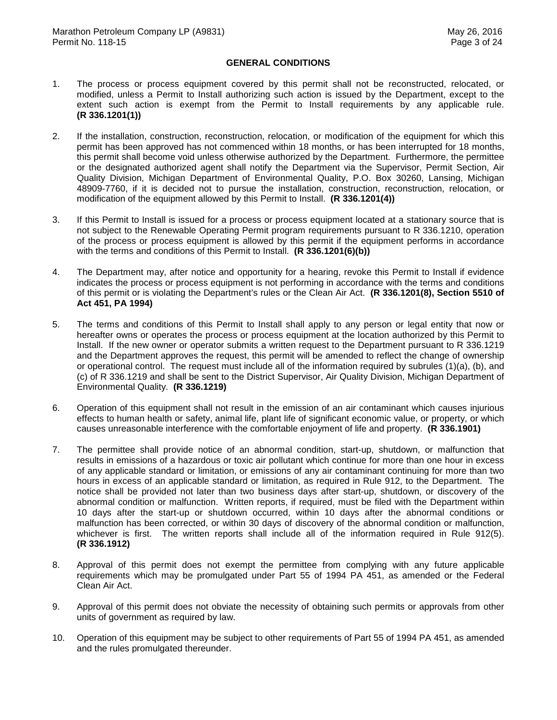## **GENERAL CONDITIONS**

- $1.$  modified, unless a Permit to Install authorizing such action is issued by the Department, except to the extent such action is exempt from the Permit to Install requirements by any applicable rule. The process or process equipment covered by this permit shall not be reconstructed, relocated, or **(R 336.1201(1))**
- $2.$  permit has been approved has not commenced within 18 months, or has been interrupted for 18 months, this permit shall become void unless otherwise authorized by the Department. Furthermore, the permittee or the designated authorized agent shall notify the Department via the Supervisor, Permit Section, Air Quality Division, Michigan Department of Environmental Quality, P.O. Box 30260, Lansing, Michigan 48909-7760, if it is decided not to pursue the installation, construction, reconstruction, relocation, or modification of the equipment allowed by this Permit to Install. **(R 336.1201(4))**  2. If the installation, construction, reconstruction, relocation, or modification of the equipment for which this
- 3. not subject to the Renewable Operating Permit program requirements pursuant to R 336.1210, operation of the process or process equipment is allowed by this permit if the equipment performs in accordance with the terms and conditions of this Permit to Install. **(R 336.1201(6)(b))**  If this Permit to Install is issued for a process or process equipment located at a stationary source that is
- $4.$  indicates the process or process equipment is not performing in accordance with the terms and conditions of this permit or is violating the Department's rules or the Clean Air Act. **(R 336.1201(8), Section 5510 of Act 451, PA 1994)**  The Department may, after notice and opportunity for a hearing, revoke this Permit to Install if evidence
- 5. hereafter owns or operates the process or process equipment at the location authorized by this Permit to Install. If the new owner or operator submits a written request to the Department pursuant to R 336.1219 and the Department approves the request, this permit will be amended to reflect the change of ownership or operational control. The request must include all of the information required by subrules (1)(a), (b), and (c) of R 336.1219 and shall be sent to the District Supervisor, Air Quality Division, Michigan Department of Environmental Quality. **(R 336.1219)**  The terms and conditions of this Permit to Install shall apply to any person or legal entity that now or
- 6. Operation of this equipment shall not result in the emission of an air contaminant which causes injurious effects to human health or safety, animal life, plant life of significant economic value, or property, or which causes unreasonable interference with the comfortable enjoyment of life and property. **(R 336.1901)**
- $7<sup>1</sup>$  results in emissions of a hazardous or toxic air pollutant which continue for more than one hour in excess of any applicable standard or limitation, or emissions of any air contaminant continuing for more than two hours in excess of an applicable standard or limitation, as required in Rule 912, to the Department. The notice shall be provided not later than two business days after start-up, shutdown, or discovery of the abnormal condition or malfunction. Written reports, if required, must be filed with the Department within 10 days after the start-up or shutdown occurred, within 10 days after the abnormal conditions or malfunction has been corrected, or within 30 days of discovery of the abnormal condition or malfunction, whichever is first. The written reports shall include all of the information required in Rule 912(5).  **(R 336.1912)**  The permittee shall provide notice of an abnormal condition, start-up, shutdown, or malfunction that
- 8. Approval of this permit does not exempt the permittee from complying with any future applicable requirements which may be promulgated under Part 55 of 1994 PA 451, as amended or the Federal Clean Air Act.
- 9. Approval of this permit does not obviate the necessity of obtaining such permits or approvals from other units of government as required by law.
- 10. Operation of this equipment may be subject to other requirements of Part 55 of 1994 PA 451, as amended and the rules promulgated thereunder.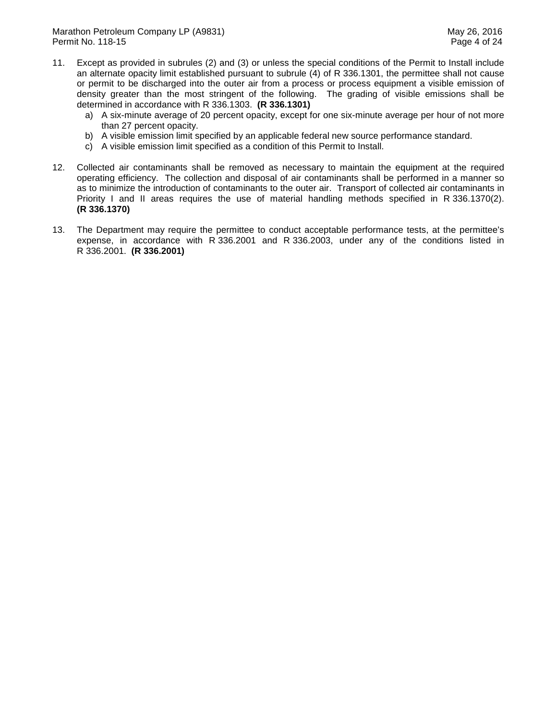- 11. Except as provided in subrules (2) and (3) or unless the special conditions of the Permit to Install include an alternate opacity limit established pursuant to subrule (4) of R 336.1301, the permittee shall not cause or permit to be discharged into the outer air from a process or process equipment a visible emission of density greater than the most stringent of the following. The grading of visible emissions shall be determined in accordance with R 336.1303. **(R 336.1301)** 
	- a) A six-minute average of 20 percent opacity, except for one six-minute average per hour of not more than 27 percent opacity.
	- b) A visible emission limit specified by an applicable federal new source performance standard.
	- c) A visible emission limit specified as a condition of this Permit to Install.
- 12. Collected air contaminants shall be removed as necessary to maintain the equipment at the required operating efficiency. The collection and disposal of air contaminants shall be performed in a manner so as to minimize the introduction of contaminants to the outer air. Transport of collected air contaminants in Priority I and II areas requires the use of material handling methods specified in R 336.1370(2).  **(R 336.1370)**
- $13.$  expense, in accordance with R 336.2001 and R 336.2003, under any of the conditions listed in R 336.2001. **(R 336.2001)** The Department may require the permittee to conduct acceptable performance tests, at the permittee's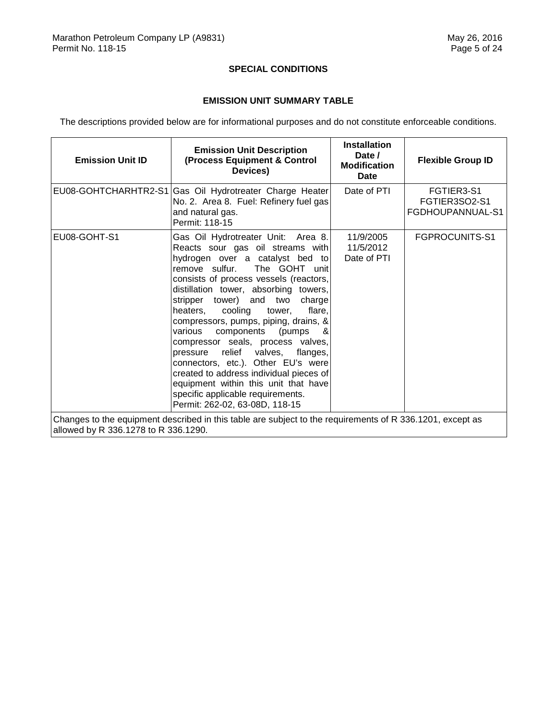## **SPECIAL CONDITIONS**

## **EMISSION UNIT SUMMARY TABLE**

The descriptions provided below are for informational purposes and do not constitute enforceable conditions.

| <b>Emission Unit ID</b>              | <b>Emission Unit Description</b><br>(Process Equipment & Control<br>Devices)                                                                                                                                                                                                                                                                                                                                                                                                                                                                                                                                                                                     | <b>Installation</b><br>Date /<br><b>Modification</b><br>Date | <b>Flexible Group ID</b>                        |
|--------------------------------------|------------------------------------------------------------------------------------------------------------------------------------------------------------------------------------------------------------------------------------------------------------------------------------------------------------------------------------------------------------------------------------------------------------------------------------------------------------------------------------------------------------------------------------------------------------------------------------------------------------------------------------------------------------------|--------------------------------------------------------------|-------------------------------------------------|
|                                      | EU08-GOHTCHARHTR2-S1 Gas Oil Hydrotreater Charge Heater<br>No. 2. Area 8. Fuel: Refinery fuel gas<br>and natural gas.<br>Permit: 118-15                                                                                                                                                                                                                                                                                                                                                                                                                                                                                                                          | Date of PTI                                                  | FGTIER3-S1<br>FGTIER3SO2-S1<br>FGDHOUPANNUAL-S1 |
| EU08-GOHT-S1                         | Gas Oil Hydrotreater Unit: Area 8.<br>Reacts sour gas oil streams with<br>hydrogen over a catalyst bed to<br>remove sulfur. The GOHT unit<br>consists of process vessels (reactors,<br>distillation tower, absorbing towers,<br>stripper tower) and two<br>charge<br>heaters, cooling<br>tower,<br>flare.<br>compressors, pumps, piping, drains, &<br>components (pumps<br>various<br>&<br>compressor seals, process valves,<br>pressure relief valves, flanges,<br>connectors, etc.). Other EU's were<br>created to address individual pieces of<br>equipment within this unit that have<br>specific applicable requirements.<br>Permit: 262-02, 63-08D, 118-15 | 11/9/2005<br>11/5/2012<br>Date of PTI                        | FGPROCUNITS-S1                                  |
| allowed by R 336.1278 to R 336.1290. | Changes to the equipment described in this table are subject to the requirements of R 336.1201, except as                                                                                                                                                                                                                                                                                                                                                                                                                                                                                                                                                        |                                                              |                                                 |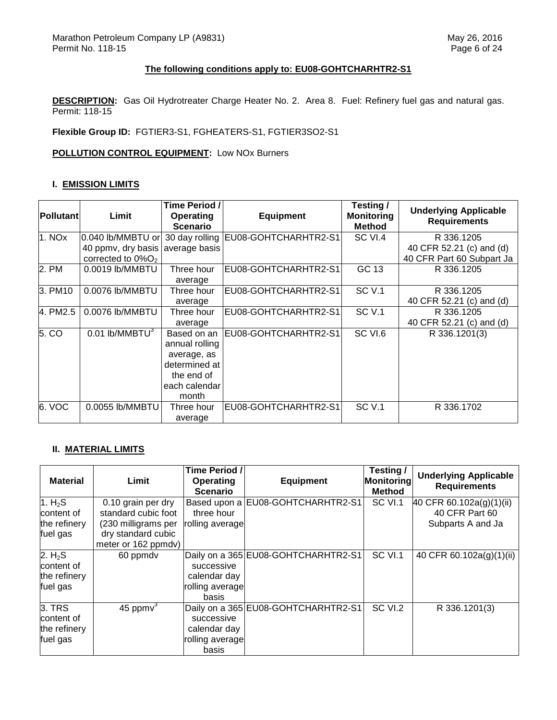## **The following conditions apply to: EU08-GOHTCHARHTR2-S1**

 **DESCRIPTION:** Gas Oil Hydrotreater Charge Heater No. 2. Area 8. Fuel: Refinery fuel gas and natural gas. Permit: 118-15

 **Flexible Group ID:** FGTIER3-S1, FGHEATERS-S1, FGTIER3SO2-S1

## **POLLUTION CONTROL EQUIPMENT:** Low NOx Burners

## **I. EMISSION LIMITS**

| Pollutant | Limit                            | Time Period /<br><b>Operating</b><br><b>Scenario</b> | <b>Equipment</b>                                      | Testing /<br><b>Monitoring</b><br><b>Method</b> | <b>Underlying Applicable</b><br><b>Requirements</b> |
|-----------|----------------------------------|------------------------------------------------------|-------------------------------------------------------|-------------------------------------------------|-----------------------------------------------------|
| 1. NOx    |                                  |                                                      | 0.040 lb/MMBTU or 30 day rolling EU08-GOHTCHARHTR2-S1 | SC VI.4                                         | R 336,1205                                          |
|           | 40 ppmv, dry basis average basis |                                                      |                                                       |                                                 | 40 CFR 52.21 (c) and (d)                            |
|           | corrected to $0\%O2$             |                                                      |                                                       |                                                 | 40 CFR Part 60 Subpart Ja                           |
| 2. PM     | 0.0019 lb/MMBTU                  | Three hour                                           | EU08-GOHTCHARHTR2-S1                                  | GC 13                                           | R 336,1205                                          |
|           |                                  | average                                              |                                                       |                                                 |                                                     |
| 3. PM10   | 0.0076 lb/MMBTU                  | Three hour                                           | EU08-GOHTCHARHTR2-S1                                  | <b>SC V.1</b>                                   | R 336,1205                                          |
|           |                                  | average                                              |                                                       |                                                 | 40 CFR 52.21 (c) and (d)                            |
| 4. PM2.5  | 0.0076 lb/MMBTU                  | Three hour                                           | EU08-GOHTCHARHTR2-S1                                  | SC <sub>V.1</sub>                               | R 336.1205                                          |
|           |                                  | average                                              |                                                       |                                                 | 40 CFR 52.21 (c) and (d)                            |
| 5. CO     | $0.01$ lb/MMBTU <sup>3</sup>     | Based on an<br>annual rolling                        | EU08-GOHTCHARHTR2-S1                                  | SC VI.6                                         | R 336.1201(3)                                       |
|           |                                  | average, as                                          |                                                       |                                                 |                                                     |
|           |                                  | determined at                                        |                                                       |                                                 |                                                     |
|           |                                  | the end of                                           |                                                       |                                                 |                                                     |
|           |                                  | each calendar                                        |                                                       |                                                 |                                                     |
|           |                                  | month                                                |                                                       |                                                 |                                                     |
| 6. VOC    | 0.0055 lb/MMBTU                  | Three hour                                           | EU08-GOHTCHARHTR2-S1                                  | <b>SC V.1</b>                                   | R 336.1702                                          |
|           |                                  | average                                              |                                                       |                                                 |                                                     |

## **II. MATERIAL LIMITS**

| <b>Material</b>     | Limit               | Time Period /<br>Operating<br><b>Scenario</b> | <b>Equipment</b>                    | Testing/<br>Monitoring<br><b>Method</b> | <b>Underlying Applicable</b><br><b>Requirements</b> |
|---------------------|---------------------|-----------------------------------------------|-------------------------------------|-----------------------------------------|-----------------------------------------------------|
| 1. $H_2S$           | 0.10 grain per dry  | Based upon a                                  | EU08-GOHTCHARHTR2-S1                | SC VI.1                                 | 40 CFR 60.102a(g)(1)(ii)                            |
| content of          | standard cubic foot | three hour                                    |                                     |                                         | 40 CFR Part 60                                      |
| the refinery        | (230 milligrams per | rolling average                               |                                     |                                         | Subparts A and Ja                                   |
| fuel gas            | dry standard cubic  |                                               |                                     |                                         |                                                     |
|                     | meter or 162 ppmdv) |                                               |                                     |                                         |                                                     |
| 2. H <sub>2</sub> S | 60 ppmdv            |                                               | Daily on a 365 EU08-GOHTCHARHTR2-S1 | SC VI.1                                 | 40 CFR 60.102a(g)(1)(ii)                            |
| content of          |                     | successive                                    |                                     |                                         |                                                     |
| the refinery        |                     | calendar day                                  |                                     |                                         |                                                     |
| fuel gas            |                     | rolling average                               |                                     |                                         |                                                     |
|                     |                     | basis                                         |                                     |                                         |                                                     |
| 3. TRS              | 45 ppm $v^3$        |                                               | Daily on a 365 EU08-GOHTCHARHTR2-S1 | SC VI.2                                 | R 336.1201(3)                                       |
| content of          |                     | successive                                    |                                     |                                         |                                                     |
| the refinery        |                     | calendar day                                  |                                     |                                         |                                                     |
| fuel gas            |                     | rolling average                               |                                     |                                         |                                                     |
|                     |                     | basis                                         |                                     |                                         |                                                     |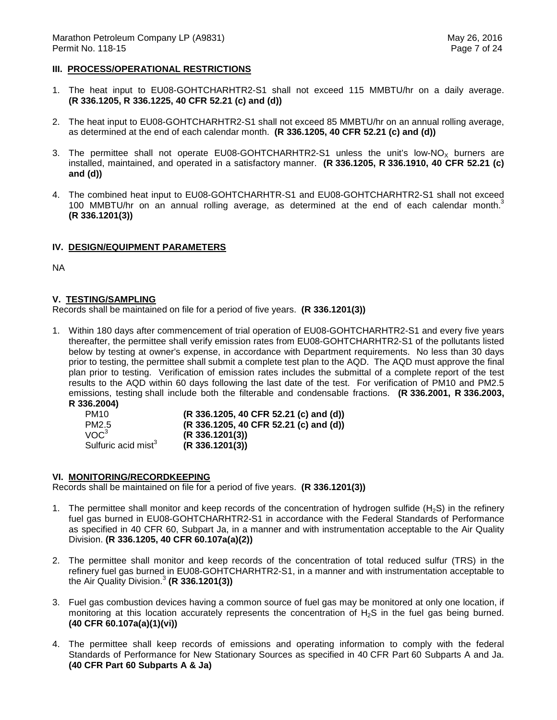## **III. PROCESS/OPERATIONAL RESTRICTIONS**

- 1. The heat input to EU08-GOHTCHARHTR2-S1 shall not exceed 115 MMBTU/hr on a daily average.  **(R 336.1205, R 336.1225, 40 CFR 52.21 (c) and (d))**
- 2. The heat input to EU08-GOHTCHARHTR2-S1 shall not exceed 85 MMBTU/hr on an annual rolling average, as determined at the end of each calendar month. **(R 336.1205, 40 CFR 52.21 (c) and (d))**
- 3. The permittee shall not operate EU08-GOHTCHARHTR2-S1 unless the unit's low-NO<sub>X</sub> burners are installed, maintained, and operated in a satisfactory manner. **(R 336.1205, R 336.1910, 40 CFR 52.21 (c) and (d))**
- 4. The combined heat input to EU08-GOHTCHARHTR-S1 and EU08-GOHTCHARHTR2-S1 shall not exceed 100 MMBTU/hr on an annual rolling average, as determined at the end of each calendar month.<sup>3</sup> **(R 336.1201(3))**

## **IV. DESIGN/EQUIPMENT PARAMETERS**

NA

#### **V. TESTING/SAMPLING**

Records shall be maintained on file for a period of five years. **(R 336.1201(3))** 

 1. Within 180 days after commencement of trial operation of EU08-GOHTCHARHTR2-S1 and every five years thereafter, the permittee shall verify emission rates from EU08-GOHTCHARHTR2-S1 of the pollutants listed below by testing at owner's expense, in accordance with Department requirements. No less than 30 days prior to testing, the permittee shall submit a complete test plan to the AQD. The AQD must approve the final plan prior to testing. Verification of emission rates includes the submittal of a complete report of the test results to the AQD within 60 days following the last date of the test. For verification of PM10 and PM2.5 emissions, testing shall include both the filterable and condensable fractions. **(R 336.2001, R 336.2003, R 336.2004)** 

| JJ0.ZUU41                       |                                        |
|---------------------------------|----------------------------------------|
| <b>PM10</b>                     | (R 336.1205, 40 CFR 52.21 (c) and (d)) |
| PM2.5                           | (R 336.1205, 40 CFR 52.21 (c) and (d)) |
| VOC <sup>3</sup>                | (R 336.1201(3))                        |
| Sulfuric acid mist <sup>3</sup> | (R 336.1201(3))                        |

## **VI. MONITORING/RECORDKEEPING**

Records shall be maintained on file for a period of five years. **(R 336.1201(3))** 

- 1. The permittee shall monitor and keep records of the concentration of hydrogen sulfide (H<sub>2</sub>S) in the refinery fuel gas burned in EU08-GOHTCHARHTR2-S1 in accordance with the Federal Standards of Performance as specified in 40 CFR 60, Subpart Ja, in a manner and with instrumentation acceptable to the Air Quality  Division. **(R 336.1205, 40 CFR 60.107a(a)(2))**
- 2. The permittee shall monitor and keep records of the concentration of total reduced sulfur (TRS) in the refinery fuel gas burned in EU08-GOHTCHARHTR2-S1, in a manner and with instrumentation acceptable to the Air Quality Division.<sup>3</sup>**(R 336.1201(3))**
- 3. Fuel gas combustion devices having a common source of fuel gas may be monitored at only one location, if monitoring at this location accurately represents the concentration of  $H_2S$  in the fuel gas being burned.  **(40 CFR 60.107a(a)(1)(vi))**
- 4. The permittee shall keep records of emissions and operating information to comply with the federal Standards of Performance for New Stationary Sources as specified in 40 CFR Part 60 Subparts A and Ja.  **(40 CFR Part 60 Subparts A & Ja)**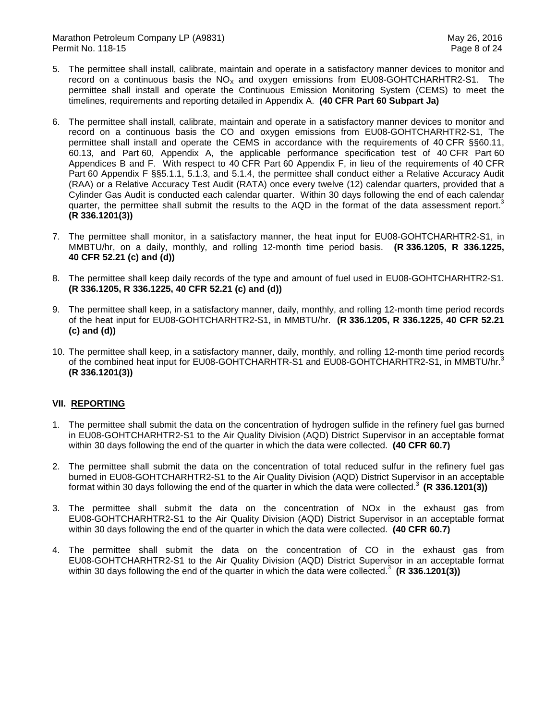Marathon Petroleum Company LP (A9831) Marathon Petroleum Company LP (A9831) Permit No. 118-15 Page 8 of 24

- 5. The permittee shall install, calibrate, maintain and operate in a satisfactory manner devices to monitor and record on a continuous basis the  $NO_{X}$  and oxygen emissions from EU08-GOHTCHARHTR2-S1. The permittee shall install and operate the Continuous Emission Monitoring System (CEMS) to meet the timelines, requirements and reporting detailed in Appendix A. **(40 CFR Part 60 Subpart Ja)**
- 6. The permittee shall install, calibrate, maintain and operate in a satisfactory manner devices to monitor and record on a continuous basis the CO and oxygen emissions from EU08-GOHTCHARHTR2-S1, The permittee shall install and operate the CEMS in accordance with the requirements of 40 CFR §§60.11, 60.13, and Part 60, Appendix A, the applicable performance specification test of 40 CFR Part 60 Appendices B and F. With respect to 40 CFR Part 60 Appendix F, in lieu of the requirements of 40 CFR Part 60 Appendix F §§5.1.1, 5.1.3, and 5.1.4, the permittee shall conduct either a Relative Accuracy Audit (RAA) or a Relative Accuracy Test Audit (RATA) once every twelve (12) calendar quarters, provided that a Cylinder Gas Audit is conducted each calendar quarter. Within 30 days following the end of each calendar quarter, the permittee shall submit the results to the AQD in the format of the data assessment report.<sup>3</sup> **(R 336.1201(3))**
- 7. The permittee shall monitor, in a satisfactory manner, the heat input for EU08-GOHTCHARHTR2-S1, in MMBTU/hr, on a daily, monthly, and rolling 12-month time period basis. **(R 336.1205, R 336.1225, 40 CFR 52.21 (c) and (d))**
- 8. The permittee shall keep daily records of the type and amount of fuel used in EU08-GOHTCHARHTR2-S1.  **(R 336.1205, R 336.1225, 40 CFR 52.21 (c) and (d))**
- 9. The permittee shall keep, in a satisfactory manner, daily, monthly, and rolling 12-month time period records of the heat input for EU08-GOHTCHARHTR2-S1, in MMBTU/hr. **(R 336.1205, R 336.1225, 40 CFR 52.21 (c) and (d))**
- 10. The permittee shall keep, in a satisfactory manner, daily, monthly, and rolling 12-month time period records of the combined heat input for EU08-GOHTCHARHTR-S1 and EU08-GOHTCHARHTR2-S1, in MMBTU/hr.<sup>3</sup> **(R 336.1201(3))**

## **VII. REPORTING**

- 1. The permittee shall submit the data on the concentration of hydrogen sulfide in the refinery fuel gas burned in EU08-GOHTCHARHTR2-S1 to the Air Quality Division (AQD) District Supervisor in an acceptable format within 30 days following the end of the quarter in which the data were collected. **(40 CFR 60.7)**
- 2. The permittee shall submit the data on the concentration of total reduced sulfur in the refinery fuel gas burned in EU08-GOHTCHARHTR2-S1 to the Air Quality Division (AQD) District Supervisor in an acceptable format within 30 days following the end of the quarter in which the data were collected.<sup>3</sup> (R 336.1201(3))
- 3. The permittee shall submit the data on the concentration of NOx in the exhaust gas from EU08-GOHTCHARHTR2-S1 to the Air Quality Division (AQD) District Supervisor in an acceptable format within 30 days following the end of the quarter in which the data were collected. **(40 CFR 60.7)**
- 4. The permittee shall submit the data on the concentration of CO in the exhaust gas from EU08-GOHTCHARHTR2-S1 to the Air Quality Division (AQD) District Supervisor in an acceptable format within 30 days following the end of the quarter in which the data were collected.<sup>3</sup> (R 336.1201(3))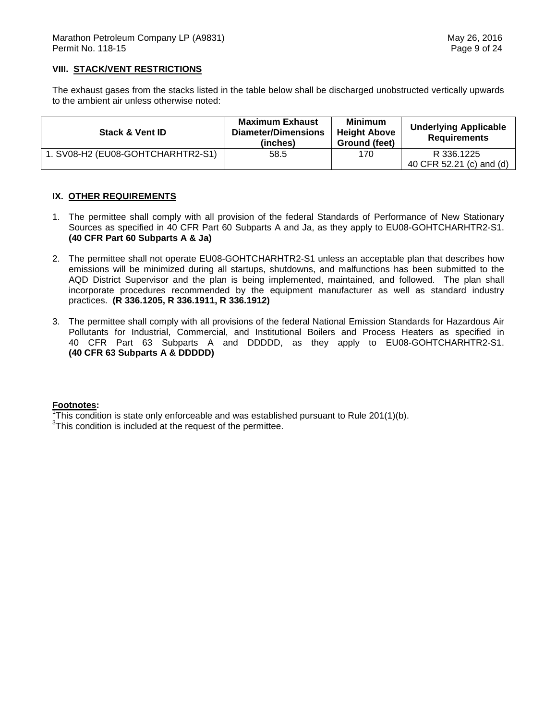## **VIII. STACK/VENT RESTRICTIONS**

 The exhaust gases from the stacks listed in the table below shall be discharged unobstructed vertically upwards to the ambient air unless otherwise noted:

| <b>Stack &amp; Vent ID</b>        | <b>Maximum Exhaust</b><br>Diameter/Dimensions<br>(inches) | <b>Minimum</b><br><b>Height Above</b><br>Ground (feet) | <b>Underlying Applicable</b><br><b>Requirements</b> |
|-----------------------------------|-----------------------------------------------------------|--------------------------------------------------------|-----------------------------------------------------|
| 1. SV08-H2 (EU08-GOHTCHARHTR2-S1) | 58.5                                                      | 170                                                    | R 336.1225<br>40 CFR 52.21 (c) and (d)              |

## **IX. OTHER REQUIREMENTS**

- 1. The permittee shall comply with all provision of the federal Standards of Performance of New Stationary Sources as specified in 40 CFR Part 60 Subparts A and Ja, as they apply to EU08-GOHTCHARHTR2-S1.  **(40 CFR Part 60 Subparts A & Ja)**
- 2. The permittee shall not operate EU08-GOHTCHARHTR2-S1 unless an acceptable plan that describes how emissions will be minimized during all startups, shutdowns, and malfunctions has been submitted to the AQD District Supervisor and the plan is being implemented, maintained, and followed. The plan shall incorporate procedures recommended by the equipment manufacturer as well as standard industry  practices. **(R 336.1205, R 336.1911, R 336.1912)**
- 3. The permittee shall comply with all provisions of the federal National Emission Standards for Hazardous Air Pollutants for Industrial, Commercial, and Institutional Boilers and Process Heaters as specified in 40 CFR Part 63 Subparts A and DDDDD, as they apply to EU08-GOHTCHARHTR2-S1.  **(40 CFR 63 Subparts A & DDDDD)**

## **Footnotes:**

 $\overline{h}$ This condition is state only enforceable and was established pursuant to Rule 201(1)(b).

 $3$ This condition is included at the request of the permittee.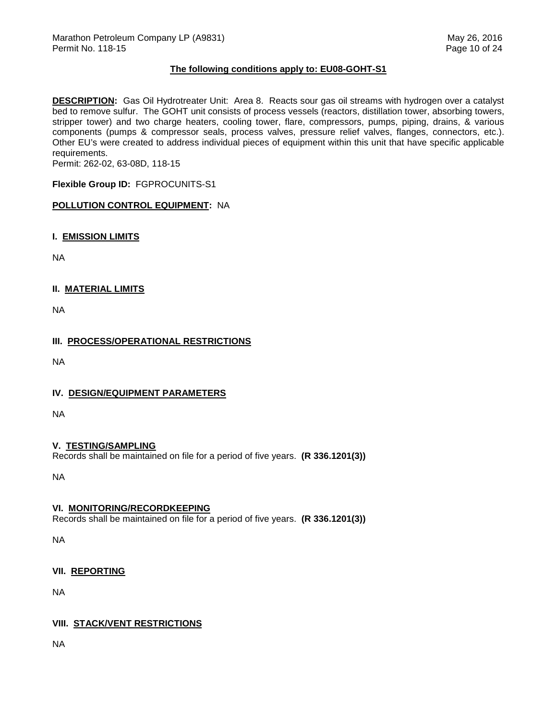## **The following conditions apply to: EU08-GOHT-S1**

 **DESCRIPTION:** Gas Oil Hydrotreater Unit: Area 8. Reacts sour gas oil streams with hydrogen over a catalyst bed to remove sulfur. The GOHT unit consists of process vessels (reactors, distillation tower, absorbing towers, stripper tower) and two charge heaters, cooling tower, flare, compressors, pumps, piping, drains, & various components (pumps & compressor seals, process valves, pressure relief valves, flanges, connectors, etc.). Other EU's were created to address individual pieces of equipment within this unit that have specific applicable requirements.

Permit: 262-02, 63-08D, 118-15

 **Flexible Group ID:** FGPROCUNITS-S1

## **POLLUTION CONTROL EQUIPMENT:** NA

 **I. EMISSION LIMITS** 

NA

## **II. MATERIAL LIMITS**

NA

# **III. PROCESS/OPERATIONAL RESTRICTIONS**

NA

# **IV. DESIGN/EQUIPMENT PARAMETERS**

NA

# **V. TESTING/SAMPLING**

Records shall be maintained on file for a period of five years. **(R 336.1201(3))** 

NA

## **VI. MONITORING/RECORDKEEPING**

Records shall be maintained on file for a period of five years. **(R 336.1201(3))** 

NA

# **VII. REPORTING**

NA

# **VIII. STACK/VENT RESTRICTIONS**

NA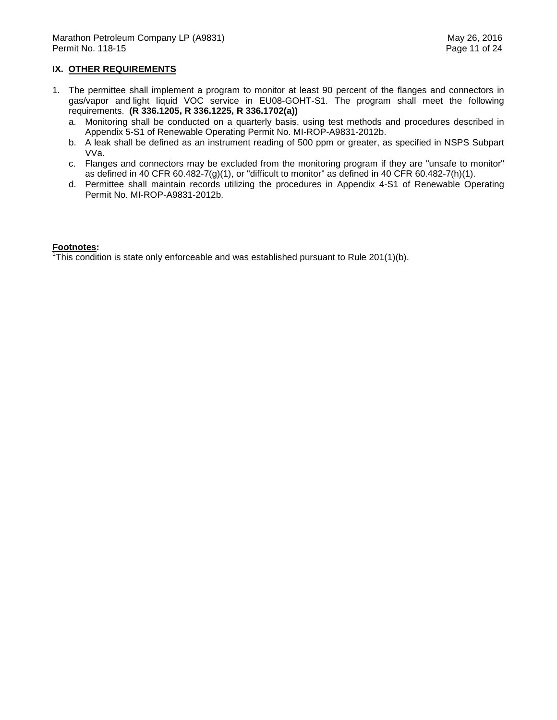## **IX. OTHER REQUIREMENTS**

- 1. The permittee shall implement a program to monitor at least 90 percent of the flanges and connectors in gas/vapor and light liquid VOC service in EU08-GOHT-S1. The program shall meet the following requirements. **(R 336.1205, R 336.1225, R 336.1702(a))** 
	- a. Monitoring shall be conducted on a quarterly basis, using test methods and procedures described in Appendix 5-S1 of Renewable Operating Permit No. MI-ROP-A9831-2012b.
	- b. A leak shall be defined as an instrument reading of 500 ppm or greater, as specified in NSPS Subpart VVa.
	- c. Flanges and connectors may be excluded from the monitoring program if they are "unsafe to monitor" as defined in 40 CFR 60.482-7(g)(1), or "difficult to monitor" as defined in 40 CFR 60.482-7(h)(1).
	- d. Permittee shall maintain records utilizing the procedures in Appendix 4-S1 of Renewable Operating Permit No. MI-ROP-A9831-2012b.

#### **Footnotes:**

 $\overline{h}$ This condition is state only enforceable and was established pursuant to Rule 201(1)(b).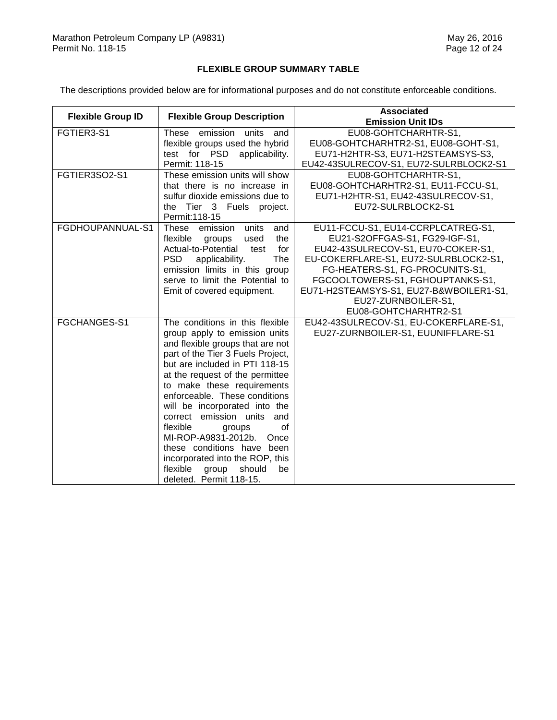#### **FLEXIBLE GROUP SUMMARY TABLE**

The descriptions provided below are for informational purposes and do not constitute enforceable conditions.

| <b>Flexible Group ID</b> | <b>Flexible Group Description</b>                                                                                                                                                                                                                                                                                                                                                                                                                                                                                                           | <b>Associated</b><br><b>Emission Unit IDs</b>                                                                                                                                                                                                                                                                        |
|--------------------------|---------------------------------------------------------------------------------------------------------------------------------------------------------------------------------------------------------------------------------------------------------------------------------------------------------------------------------------------------------------------------------------------------------------------------------------------------------------------------------------------------------------------------------------------|----------------------------------------------------------------------------------------------------------------------------------------------------------------------------------------------------------------------------------------------------------------------------------------------------------------------|
| FGTIER3-S1               | These emission units and<br>flexible groups used the hybrid<br>test for PSD applicability.<br>Permit: 118-15                                                                                                                                                                                                                                                                                                                                                                                                                                | EU08-GOHTCHARHTR-S1,<br>EU08-GOHTCHARHTR2-S1, EU08-GOHT-S1,<br>EU71-H2HTR-S3, EU71-H2STEAMSYS-S3,<br>EU42-43SULRECOV-S1, EU72-SULRBLOCK2-S1                                                                                                                                                                          |
| FGTIER3SO2-S1            | These emission units will show<br>that there is no increase in<br>sulfur dioxide emissions due to<br>the Tier 3 Fuels project.<br>Permit: 118-15                                                                                                                                                                                                                                                                                                                                                                                            | EU08-GOHTCHARHTR-S1,<br>EU08-GOHTCHARHTR2-S1, EU11-FCCU-S1,<br>EU71-H2HTR-S1, EU42-43SULRECOV-S1,<br>EU72-SULRBLOCK2-S1                                                                                                                                                                                              |
| FGDHOUPANNUAL-S1         | units<br>These<br>emission<br>and<br>flexible<br>the<br>groups<br>used<br>Actual-to-Potential<br>for<br>test<br><b>PSD</b><br>applicability.<br>The<br>emission limits in this group<br>serve to limit the Potential to<br>Emit of covered equipment.                                                                                                                                                                                                                                                                                       | EU11-FCCU-S1, EU14-CCRPLCATREG-S1,<br>EU21-S2OFFGAS-S1, FG29-IGF-S1,<br>EU42-43SULRECOV-S1, EU70-COKER-S1,<br>EU-COKERFLARE-S1, EU72-SULRBLOCK2-S1,<br>FG-HEATERS-S1, FG-PROCUNITS-S1,<br>FGCOOLTOWERS-S1, FGHOUPTANKS-S1,<br>EU71-H2STEAMSYS-S1, EU27-B&WBOILER1-S1,<br>EU27-ZURNBOILER-S1,<br>EU08-GOHTCHARHTR2-S1 |
| FGCHANGES-S1             | The conditions in this flexible<br>group apply to emission units<br>and flexible groups that are not<br>part of the Tier 3 Fuels Project,<br>but are included in PTI 118-15<br>at the request of the permittee<br>to make these requirements<br>enforceable. These conditions<br>will be incorporated into the<br>correct emission units<br>and<br>of<br>flexible<br>groups<br>MI-ROP-A9831-2012b.<br>Once<br>these conditions have been<br>incorporated into the ROP, this<br>flexible<br>should<br>group<br>be<br>deleted. Permit 118-15. | EU42-43SULRECOV-S1, EU-COKERFLARE-S1,<br>EU27-ZURNBOILER-S1, EUUNIFFLARE-S1                                                                                                                                                                                                                                          |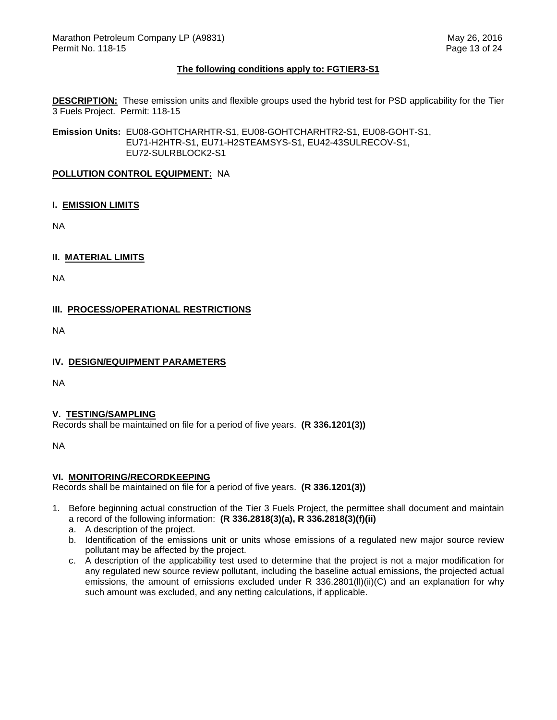## **The following conditions apply to: FGTIER3-S1**

 **DESCRIPTION:** These emission units and flexible groups used the hybrid test for PSD applicability for the Tier 3 Fuels Project. Permit: 118-15

**Emission Units:** EU08-GOHTCHARHTR-S1, EU08-GOHTCHARHTR2-S1, EU08-GOHT-S1, EU71-H2HTR-S1, EU71-H2STEAMSYS-S1, EU42-43SULRECOV-S1, EU72-SULRBLOCK2-S1

#### **POLLUTION CONTROL EQUIPMENT:** NA

## **I. EMISSION LIMITS**

NA

## **II. MATERIAL LIMITS**

NA

# **III. PROCESS/OPERATIONAL RESTRICTIONS**

NA

## **IV. DESIGN/EQUIPMENT PARAMETERS**

NA

## **V. TESTING/SAMPLING**

Records shall be maintained on file for a period of five years. **(R 336.1201(3))** 

NA

# **VI. MONITORING/RECORDKEEPING**

Records shall be maintained on file for a period of five years. **(R 336.1201(3))** 

- 1. Before beginning actual construction of the Tier 3 Fuels Project, the permittee shall document and maintain a record of the following information: **(R 336.2818(3)(a), R 336.2818(3)(f)(ii)** 
	- a. A description of the project.
	- b. Identification of the emissions unit or units whose emissions of a regulated new major source review pollutant may be affected by the project.
	- c. A description of the applicability test used to determine that the project is not a major modification for any regulated new source review pollutant, including the baseline actual emissions, the projected actual emissions, the amount of emissions excluded under R 336.2801(ll)(ii)(C) and an explanation for why such amount was excluded, and any netting calculations, if applicable.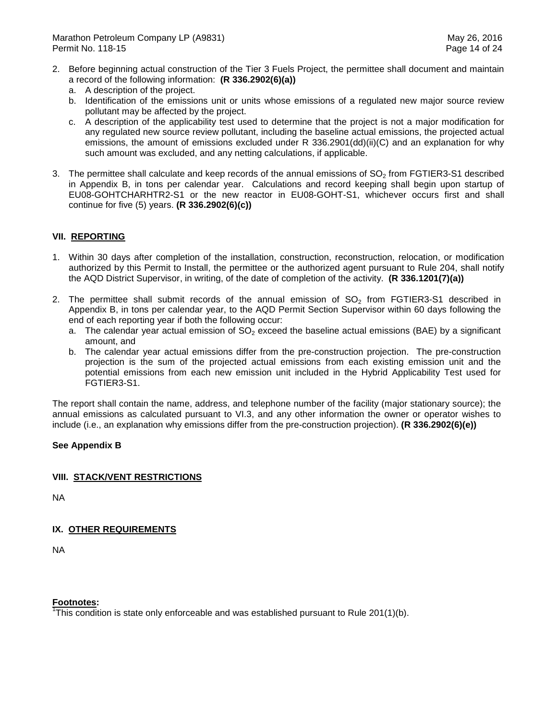- 2. Before beginning actual construction of the Tier 3 Fuels Project, the permittee shall document and maintain a record of the following information: **(R 336.2902(6)(a))** 
	- a. A description of the project.
	- b. Identification of the emissions unit or units whose emissions of a regulated new major source review pollutant may be affected by the project.
	- c. A description of the applicability test used to determine that the project is not a major modification for any regulated new source review pollutant, including the baseline actual emissions, the projected actual emissions, the amount of emissions excluded under R 336.2901(dd)(ii)(C) and an explanation for why such amount was excluded, and any netting calculations, if applicable.
- 3. The permittee shall calculate and keep records of the annual emissions of  $SO<sub>2</sub>$  from FGTIER3-S1 described in Appendix B, in tons per calendar year. Calculations and record keeping shall begin upon startup of EU08-GOHTCHARHTR2-S1 or the new reactor in EU08-GOHT-S1, whichever occurs first and shall continue for five (5) years. **(R 336.2902(6)(c))**

# **VII. REPORTING**

- 1. Within 30 days after completion of the installation, construction, reconstruction, relocation, or modification authorized by this Permit to Install, the permittee or the authorized agent pursuant to Rule 204, shall notify the AQD District Supervisor, in writing, of the date of completion of the activity. **(R 336.1201(7)(a))**
- 2. The permittee shall submit records of the annual emission of  $SO_2$  from FGTIER3-S1 described in Appendix B, in tons per calendar year, to the AQD Permit Section Supervisor within 60 days following the end of each reporting year if both the following occur:
	- a. The calendar year actual emission of  $SO_2$  exceed the baseline actual emissions (BAE) by a significant amount, and
	- b. The calendar year actual emissions differ from the pre-construction projection. The pre-construction projection is the sum of the projected actual emissions from each existing emission unit and the potential emissions from each new emission unit included in the Hybrid Applicability Test used for FGTIER3-S1.

 The report shall contain the name, address, and telephone number of the facility (major stationary source); the annual emissions as calculated pursuant to VI.3, and any other information the owner or operator wishes to include (i.e., an explanation why emissions differ from the pre-construction projection). **(R 336.2902(6)(e))** 

# **See Appendix B**

# **VIII. STACK/VENT RESTRICTIONS**

NA

# **IX. OTHER REQUIREMENTS**

NA

## **Footnotes:**

 $\overline{h}$ This condition is state only enforceable and was established pursuant to Rule 201(1)(b).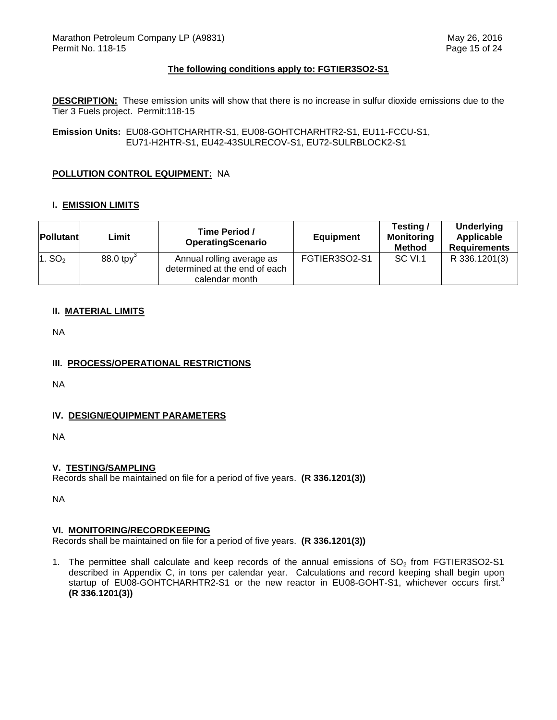## **The following conditions apply to: FGTIER3SO2-S1**

 **DESCRIPTION:** These emission units will show that there is no increase in sulfur dioxide emissions due to the Tier 3 Fuels project. Permit:118-15

**Emission Units:** EU08-GOHTCHARHTR-S1, EU08-GOHTCHARHTR2-S1, EU11-FCCU-S1, EU71-H2HTR-S1, EU42-43SULRECOV-S1, EU72-SULRBLOCK2-S1

## **POLLUTION CONTROL EQUIPMENT:** NA

## **I. EMISSION LIMITS**

| <b>Pollutant</b>   | Limit                   | Time Period /<br>OperatingScenario                                           | <b>Equipment</b> | Testing /<br><b>Monitoring</b><br><b>Method</b> | <b>Underlying</b><br>Applicable<br><b>Requirements</b> |
|--------------------|-------------------------|------------------------------------------------------------------------------|------------------|-------------------------------------------------|--------------------------------------------------------|
| 1. SO <sub>2</sub> | $88.0$ tpy <sup>3</sup> | Annual rolling average as<br>determined at the end of each<br>calendar month | FGTIER3SO2-S1    | SC VI.1                                         | R 336.1201(3)                                          |

## **II. MATERIAL LIMITS**

NA

# **III. PROCESS/OPERATIONAL RESTRICTIONS**

NA

# **IV. DESIGN/EQUIPMENT PARAMETERS**

NA

# **V. TESTING/SAMPLING**

Records shall be maintained on file for a period of five years. **(R 336.1201(3))** 

NA

## **VI. MONITORING/RECORDKEEPING**

Records shall be maintained on file for a period of five years. **(R 336.1201(3))** 

1. The permittee shall calculate and keep records of the annual emissions of  $SO<sub>2</sub>$  from FGTIER3SO2-S1 described in Appendix C, in tons per calendar year. Calculations and record keeping shall begin upon startup of EU08-GOHTCHARHTR2-S1 or the new reactor in EU08-GOHT-S1, whichever occurs first.<sup>3</sup> **(R 336.1201(3))**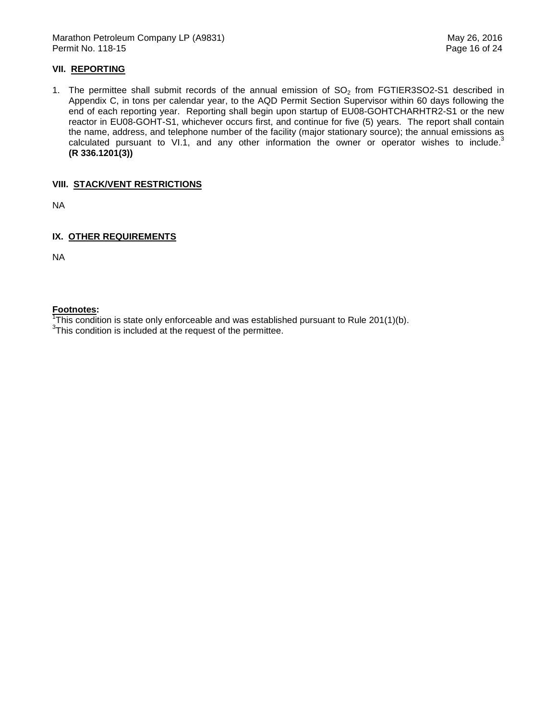Marathon Petroleum Company LP (A9831) Marathon Petroleum Company LP (A9831) Permit No. 118-15 Page 16 of 24

## **VII. REPORTING**

1. The permittee shall submit records of the annual emission of  $SO<sub>2</sub>$  from FGTIER3SO2-S1 described in Appendix C, in tons per calendar year, to the AQD Permit Section Supervisor within 60 days following the end of each reporting year. Reporting shall begin upon startup of EU08-GOHTCHARHTR2-S1 or the new reactor in EU08-GOHT-S1, whichever occurs first, and continue for five (5) years. The report shall contain the name, address, and telephone number of the facility (major stationary source); the annual emissions as calculated pursuant to VI.1, and any other information the owner or operator wishes to include.<sup>3</sup> **(R 336.1201(3))** 

## **VIII. STACK/VENT RESTRICTIONS**

NA

## **IX. OTHER REQUIREMENTS**

NA

## **Footnotes:**

 $\overline{h}$ This condition is state only enforceable and was established pursuant to Rule 201(1)(b).

 $3$ This condition is included at the request of the permittee.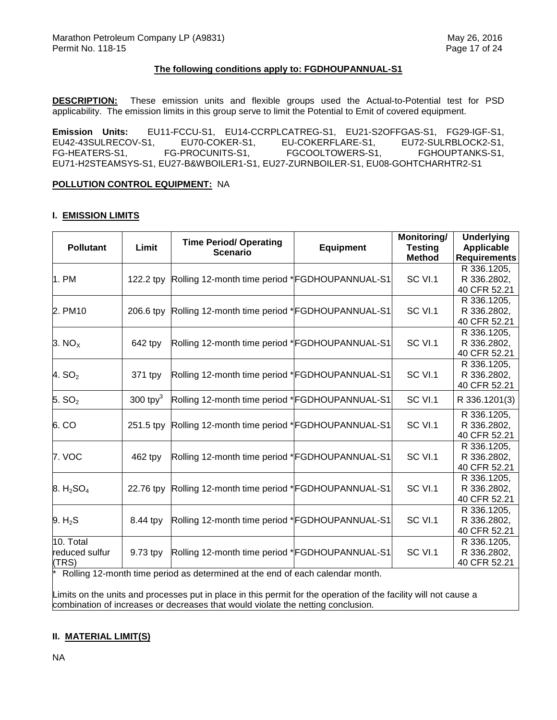## **The following conditions apply to: FGDHOUPANNUAL-S1**

 **DESCRIPTION:** These emission units and flexible groups used the Actual-to-Potential test for PSD applicability. The emission limits in this group serve to limit the Potential to Emit of covered equipment.

**Emission Units: Emission Units:** EU11-FCCU-S1, EU14-CCRPLCATREG-S1, EU21-S2OFFGAS-S1, FG29-IGF-S1, EU42-43SULRECOV-S1, EU70-COKER-S1, EU-COKERFLARE-S1, EU72-SULRBLOCK2-S1, FG-HEATERS-S1, FG-PROCUNITS-S1, FGCOOLTOWERS-S1, FGHOUPTANKS-S1, EU71-H2STEAMSYS-S1, EU27-B&WBOILER1-S1, EU27-ZURNBOILER-S1, EU08-GOHTCHARHTR2-S1

#### **POLLUTION CONTROL EQUIPMENT:** NA

#### **I. EMISSION LIMITS**

|             |                                                    |                                                  | Monitoring/                                                                                                                                                                                                                                                                                                                                                                                                                                                                                                                                                                                                          | <b>Underlying</b>                                                                                                       |
|-------------|----------------------------------------------------|--------------------------------------------------|----------------------------------------------------------------------------------------------------------------------------------------------------------------------------------------------------------------------------------------------------------------------------------------------------------------------------------------------------------------------------------------------------------------------------------------------------------------------------------------------------------------------------------------------------------------------------------------------------------------------|-------------------------------------------------------------------------------------------------------------------------|
|             |                                                    |                                                  |                                                                                                                                                                                                                                                                                                                                                                                                                                                                                                                                                                                                                      | <b>Applicable</b>                                                                                                       |
|             |                                                    |                                                  |                                                                                                                                                                                                                                                                                                                                                                                                                                                                                                                                                                                                                      | <b>Requirements</b>                                                                                                     |
|             |                                                    |                                                  |                                                                                                                                                                                                                                                                                                                                                                                                                                                                                                                                                                                                                      | R 336.1205,                                                                                                             |
| 122.2 tpy   |                                                    |                                                  |                                                                                                                                                                                                                                                                                                                                                                                                                                                                                                                                                                                                                      | R 336.2802,                                                                                                             |
|             |                                                    |                                                  |                                                                                                                                                                                                                                                                                                                                                                                                                                                                                                                                                                                                                      | 40 CFR 52.21                                                                                                            |
|             |                                                    |                                                  |                                                                                                                                                                                                                                                                                                                                                                                                                                                                                                                                                                                                                      | R 336.1205,                                                                                                             |
| 206.6 tpv   |                                                    |                                                  |                                                                                                                                                                                                                                                                                                                                                                                                                                                                                                                                                                                                                      | R 336.2802,                                                                                                             |
|             |                                                    |                                                  |                                                                                                                                                                                                                                                                                                                                                                                                                                                                                                                                                                                                                      | 40 CFR 52.21                                                                                                            |
|             |                                                    |                                                  |                                                                                                                                                                                                                                                                                                                                                                                                                                                                                                                                                                                                                      | R 336.1205,                                                                                                             |
|             |                                                    |                                                  |                                                                                                                                                                                                                                                                                                                                                                                                                                                                                                                                                                                                                      | R 336.2802,                                                                                                             |
|             |                                                    |                                                  |                                                                                                                                                                                                                                                                                                                                                                                                                                                                                                                                                                                                                      | 40 CFR 52.21                                                                                                            |
|             |                                                    |                                                  |                                                                                                                                                                                                                                                                                                                                                                                                                                                                                                                                                                                                                      | R 336.1205,                                                                                                             |
|             |                                                    |                                                  |                                                                                                                                                                                                                                                                                                                                                                                                                                                                                                                                                                                                                      | R 336.2802,                                                                                                             |
|             |                                                    |                                                  |                                                                                                                                                                                                                                                                                                                                                                                                                                                                                                                                                                                                                      | 40 CFR 52.21                                                                                                            |
| 300 tpy $3$ |                                                    |                                                  | SC VI.1                                                                                                                                                                                                                                                                                                                                                                                                                                                                                                                                                                                                              | R 336.1201(3)                                                                                                           |
|             |                                                    |                                                  |                                                                                                                                                                                                                                                                                                                                                                                                                                                                                                                                                                                                                      | R 336.1205,                                                                                                             |
| 251.5 tpy   |                                                    |                                                  | SC VI.1                                                                                                                                                                                                                                                                                                                                                                                                                                                                                                                                                                                                              | R 336.2802,                                                                                                             |
|             |                                                    |                                                  |                                                                                                                                                                                                                                                                                                                                                                                                                                                                                                                                                                                                                      | 40 CFR 52.21                                                                                                            |
|             |                                                    |                                                  |                                                                                                                                                                                                                                                                                                                                                                                                                                                                                                                                                                                                                      | R 336.1205,                                                                                                             |
|             |                                                    |                                                  |                                                                                                                                                                                                                                                                                                                                                                                                                                                                                                                                                                                                                      | R 336.2802,                                                                                                             |
|             |                                                    |                                                  |                                                                                                                                                                                                                                                                                                                                                                                                                                                                                                                                                                                                                      | 40 CFR 52.21                                                                                                            |
|             |                                                    |                                                  |                                                                                                                                                                                                                                                                                                                                                                                                                                                                                                                                                                                                                      | R 336.1205,                                                                                                             |
| 22.76 tpy   |                                                    |                                                  |                                                                                                                                                                                                                                                                                                                                                                                                                                                                                                                                                                                                                      | R 336.2802,                                                                                                             |
|             |                                                    |                                                  |                                                                                                                                                                                                                                                                                                                                                                                                                                                                                                                                                                                                                      | 40 CFR 52.21                                                                                                            |
|             |                                                    |                                                  |                                                                                                                                                                                                                                                                                                                                                                                                                                                                                                                                                                                                                      | R 336.1205,                                                                                                             |
|             |                                                    |                                                  |                                                                                                                                                                                                                                                                                                                                                                                                                                                                                                                                                                                                                      | R 336.2802,                                                                                                             |
|             |                                                    |                                                  |                                                                                                                                                                                                                                                                                                                                                                                                                                                                                                                                                                                                                      | 40 CFR 52.21                                                                                                            |
|             |                                                    |                                                  |                                                                                                                                                                                                                                                                                                                                                                                                                                                                                                                                                                                                                      | R 336.1205,                                                                                                             |
| 9.73 tpy    |                                                    |                                                  |                                                                                                                                                                                                                                                                                                                                                                                                                                                                                                                                                                                                                      | R 336.2802,                                                                                                             |
|             |                                                    |                                                  |                                                                                                                                                                                                                                                                                                                                                                                                                                                                                                                                                                                                                      | 40 CFR 52.21                                                                                                            |
|             | Limit<br>642 tpy<br>371 tpy<br>462 tpy<br>8.44 tpy | <b>Time Period/ Operating</b><br><b>Scenario</b> | <b>Equipment</b><br>Rolling 12-month time period *FGDHOUPANNUAL-S1<br>Rolling 12-month time period *FGDHOUPANNUAL-S1<br>Rolling 12-month time period *FGDHOUPANNUAL-S1<br>Rolling 12-month time period *FGDHOUPANNUAL-S1<br>Rolling 12-month time period *FGDHOUPANNUAL-S1<br>Rolling 12-month time period *FGDHOUPANNUAL-S1<br>Rolling 12-month time period *FGDHOUPANNUAL-S1<br>Rolling 12-month time period *FGDHOUPANNUAL-S1<br>Rolling 12-month time period *FGDHOUPANNUAL-S1<br>Rolling 12-month time period *FGDHOUPANNUAL-S1<br>Polling 12 month time period as determined at the end of each calendar month | <b>Testing</b><br><b>Method</b><br>SC VI.1<br>SC VI.1<br>SC VI.1<br>SC VI.1<br>SC VI.1<br>SC VI.1<br>SC VI.1<br>SC VI.1 |

\* Rolling 12-month time period as determined at the end of each calendar month.

 Limits on the units and processes put in place in this permit for the operation of the facility will not cause a combination of increases or decreases that would violate the netting conclusion.

# **II. MATERIAL LIMIT(S)**

NA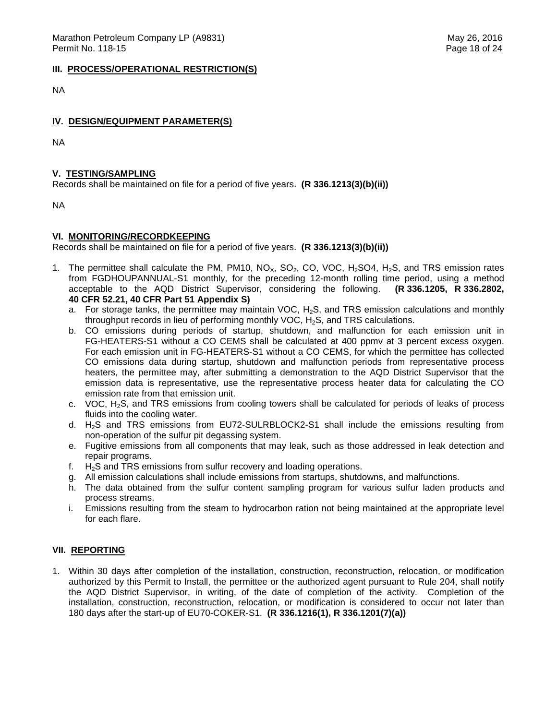#### **III. PROCESS/OPERATIONAL RESTRICTION(S)**

NA

## **IV. DESIGN/EQUIPMENT PARAMETER(S)**

NA

## **V. TESTING/SAMPLING**

Records shall be maintained on file for a period of five years. **(R 336.1213(3)(b)(ii))** 

NA

## **VI. MONITORING/RECORDKEEPING**

Records shall be maintained on file for a period of five years. **(R 336.1213(3)(b)(ii))** 

- 1. The permittee shall calculate the PM, PM10, NO<sub>X</sub>, SO<sub>2</sub>, CO, VOC, H<sub>2</sub>SO4, H<sub>2</sub>S, and TRS emission rates from FGDHOUPANNUAL-S1 monthly, for the preceding 12-month rolling time period, using a method acceptable to the AQD District Supervisor, considering the following. **(R 336.1205, R 336.2802, 40 CFR 52.21, 40 CFR Part 51 Appendix S)** 
	- a. For storage tanks, the permittee may maintain VOC,  $H_2S$ , and TRS emission calculations and monthly throughput records in lieu of performing monthly VOC,  $H_2S$ , and TRS calculations.
	- b. CO emissions during periods of startup, shutdown, and malfunction for each emission unit in FG-HEATERS-S1 without a CO CEMS shall be calculated at 400 ppmv at 3 percent excess oxygen. For each emission unit in FG-HEATERS-S1 without a CO CEMS, for which the permittee has collected CO emissions data during startup, shutdown and malfunction periods from representative process heaters, the permittee may, after submitting a demonstration to the AQD District Supervisor that the emission data is representative, use the representative process heater data for calculating the CO emission rate from that emission unit.
	- c. VOC,  $H_2S$ , and TRS emissions from cooling towers shall be calculated for periods of leaks of process fluids into the cooling water.
	- d.  $H_2S$  and TRS emissions from EU72-SULRBLOCK2-S1 shall include the emissions resulting from non-operation of the sulfur pit degassing system.
	- e. Fugitive emissions from all components that may leak, such as those addressed in leak detection and repair programs.
	- f.  $H_2S$  and TRS emissions from sulfur recovery and loading operations.
	- g. All emission calculations shall include emissions from startups, shutdowns, and malfunctions.
	- h. The data obtained from the sulfur content sampling program for various sulfur laden products and process streams.
	- i. Emissions resulting from the steam to hydrocarbon ration not being maintained at the appropriate level for each flare.

# **VII. REPORTING**

 1. Within 30 days after completion of the installation, construction, reconstruction, relocation, or modification authorized by this Permit to Install, the permittee or the authorized agent pursuant to Rule 204, shall notify the AQD District Supervisor, in writing, of the date of completion of the activity. Completion of the installation, construction, reconstruction, relocation, or modification is considered to occur not later than 180 days after the start-up of EU70-COKER-S1. **(R 336.1216(1), R 336.1201(7)(a))**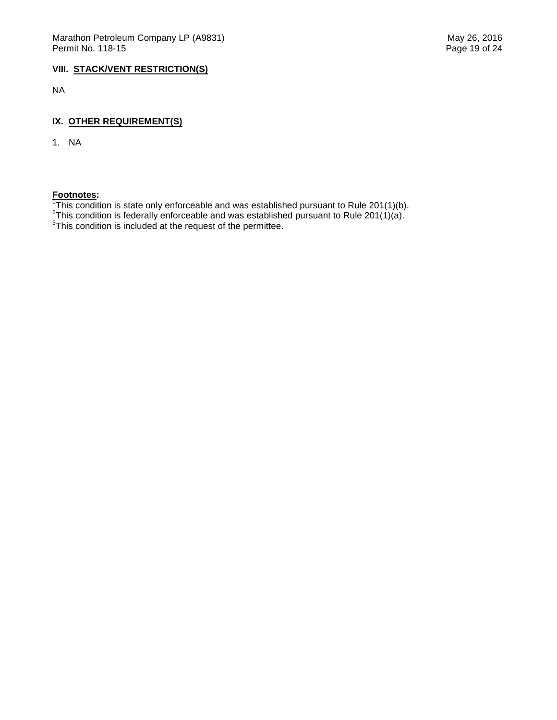## **VIII. STACK/VENT RESTRICTION(S)**

NA

## **IX. OTHER REQUIREMENT(S)**

1. NA

 Footnotes:<br><sup>1</sup>This condition is state only enforceable and was established pursuant to Rule 201(1)(b).<br><sup>2</sup>This condition is federally enforceable and was established pursuant to Rule 201(1)(a).<br><sup>3</sup>This condition is include

- 
-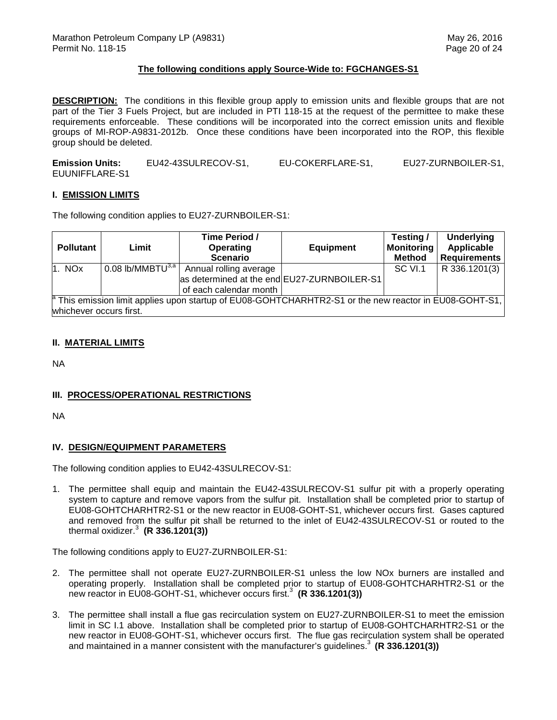#### **The following conditions apply Source-Wide to: FGCHANGES-S1**

 **DESCRIPTION:** The conditions in this flexible group apply to emission units and flexible groups that are not part of the Tier 3 Fuels Project, but are included in PTI 118-15 at the request of the permittee to make these requirements enforceable. These conditions will be incorporated into the correct emission units and flexible groups of MI-ROP-A9831-2012b. Once these conditions have been incorporated into the ROP, this flexible group should be deleted.

**Emission Units:** EU42-43SULRECOV-S1, EU-COKERFLARE-S1, EU27-ZURNBOILER-S1, EUUNIFFLARE-S1

#### **I. EMISSION LIMITS**

The following condition applies to EU27-ZURNBOILER-S1:

| <b>Pollutant</b>              | Limit                                          | Time Period /<br><b>Operating</b><br><b>Scenario</b>                                                              | <b>Equipment</b> | Testing /<br><b>Monitoring</b><br><b>Method</b> | <b>Underlying</b><br>Applicable<br><b>Requirements</b> |
|-------------------------------|------------------------------------------------|-------------------------------------------------------------------------------------------------------------------|------------------|-------------------------------------------------|--------------------------------------------------------|
| $\mathsf{1.}$ NO $\mathsf{x}$ | $0.08$ lb/MMBT $\overline{U}^{3,\overline{a}}$ | Annual rolling average<br>as determined at the end EU27-ZURNBOILER-S1<br>of each calendar month                   |                  | SC VI.1                                         | R 336.1201(3)                                          |
| whichever occurs first.       |                                                | <sup>8</sup> This emission limit applies upon startup of EU08-GOHTCHARHTR2-S1 or the new reactor in EU08-GOHT-S1, |                  |                                                 |                                                        |

## **II. MATERIAL LIMITS**

NA

## **III. PROCESS/OPERATIONAL RESTRICTIONS**

NA

## **IV. DESIGN/EQUIPMENT PARAMETERS**

The following condition applies to EU42-43SULRECOV-S1:

 1. The permittee shall equip and maintain the EU42-43SULRECOV-S1 sulfur pit with a properly operating system to capture and remove vapors from the sulfur pit. Installation shall be completed prior to startup of EU08-GOHTCHARHTR2-S1 or the new reactor in EU08-GOHT-S1, whichever occurs first. Gases captured and removed from the sulfur pit shall be returned to the inlet of EU42-43SULRECOV-S1 or routed to the thermal oxidizer.<sup>3</sup>**(R 336.1201(3))** 

The following conditions apply to EU27-ZURNBOILER-S1:

- 2. The permittee shall not operate EU27-ZURNBOILER-S1 unless the low NOx burners are installed and operating properly. Installation shall be completed prior to startup of EU08-GOHTCHARHTR2-S1 or the new reactor in EU08-GOHT-S1, whichever occurs first.<sup>3</sup> (R 336.1201(3))
- 3. The permittee shall install a flue gas recirculation system on EU27-ZURNBOILER-S1 to meet the emission limit in SC I.1 above. Installation shall be completed prior to startup of EU08-GOHTCHARHTR2-S1 or the new reactor in EU08-GOHT-S1, whichever occurs first. The flue gas recirculation system shall be operated and maintained in a manner consistent with the manufacturer's guidelines.<sup>3</sup> (R 336.1201(3))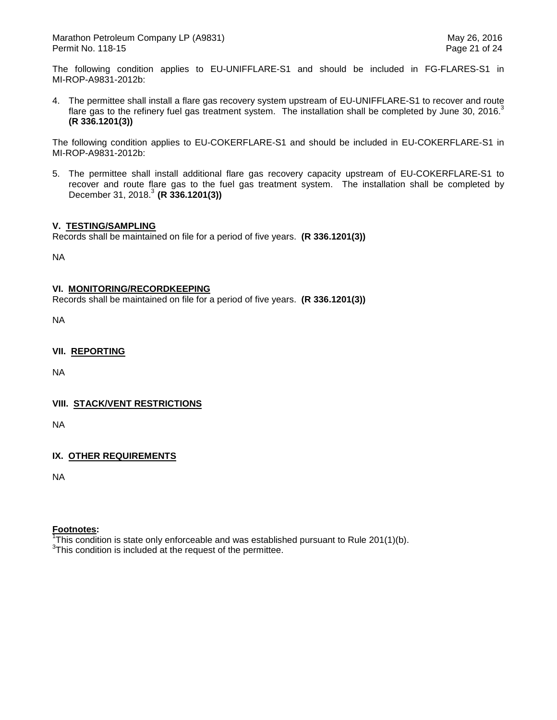The following condition applies to EU-UNIFFLARE-S1 and should be included in FG-FLARES-S1 in MI-ROP-A9831-2012b:

 4. The permittee shall install a flare gas recovery system upstream of EU-UNIFFLARE-S1 to recover and route flare gas to the refinery fuel gas treatment system. The installation shall be completed by June 30, 2016. $3$ **(R 336.1201(3))** 

 The following condition applies to EU-COKERFLARE-S1 and should be included in EU-COKERFLARE-S1 in MI-ROP-A9831-2012b:

 5. The permittee shall install additional flare gas recovery capacity upstream of EU-COKERFLARE-S1 to recover and route flare gas to the fuel gas treatment system. The installation shall be completed by December 31, 2018.3 **(R 336.1201(3))** 

## **V. TESTING/SAMPLING**

Records shall be maintained on file for a period of five years. **(R 336.1201(3))** 

NA

## **VI. MONITORING/RECORDKEEPING**

Records shall be maintained on file for a period of five years. **(R 336.1201(3))** 

NA

 **VII. REPORTING** 

NA

## **VIII. STACK/VENT RESTRICTIONS**

NA

# **IX. OTHER REQUIREMENTS**

NA

## **Footnotes:**

 $\overline{h}$ This condition is state only enforceable and was established pursuant to Rule 201(1)(b).

 $3$ This condition is included at the request of the permittee.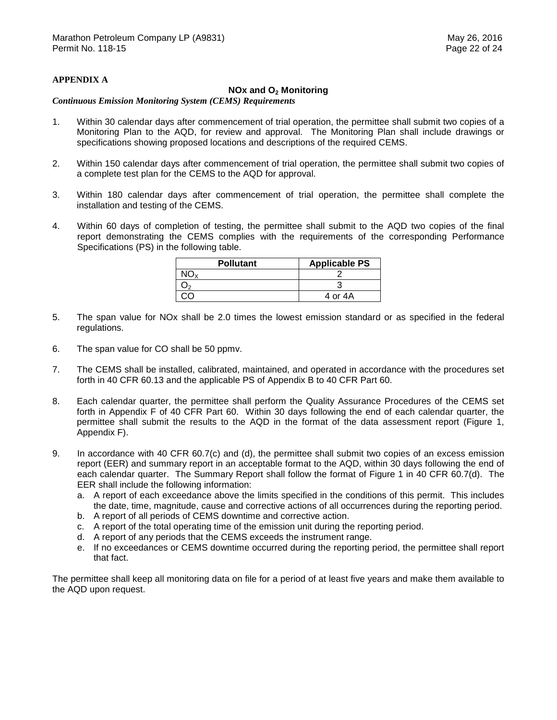## **APPENDIX A**

# **NOx and O2 Monitoring**

#### *Continuous Emission Monitoring System (CEMS) Requirements*

- $1<sub>1</sub>$  Monitoring Plan to the AQD, for review and approval. The Monitoring Plan shall include drawings or specifications showing proposed locations and descriptions of the required CEMS. Within 30 calendar days after commencement of trial operation, the permittee shall submit two copies of a
- $2.$  a complete test plan for the CEMS to the AQD for approval. 2. Within 150 calendar days after commencement of trial operation, the permittee shall submit two copies of
- $3<sub>1</sub>$  installation and testing of the CEMS. Within 180 calendar days after commencement of trial operation, the permittee shall complete the
- $\overline{4}$ . report demonstrating the CEMS complies with the requirements of the corresponding Performance Specifications (PS) in the following table. Within 60 days of completion of testing, the permittee shall submit to the AQD two copies of the final

| <b>Pollutant</b> | <b>Applicable PS</b> |  |  |
|------------------|----------------------|--|--|
|                  |                      |  |  |
|                  |                      |  |  |
|                  | 4 or 4A              |  |  |

- 5. The span value for NOx shall be 2.0 times the lowest emission standard or as specified in the federal regulations.
- 6. The span value for CO shall be 50 ppmv.
- $7.$  forth in 40 CFR 60.13 and the applicable PS of Appendix B to 40 CFR Part 60. The CEMS shall be installed, calibrated, maintained, and operated in accordance with the procedures set
- 8. forth in Appendix F of 40 CFR Part 60. Within 30 days following the end of each calendar quarter, the permittee shall submit the results to the AQD in the format of the data assessment report (Figure 1, Appendix F). Each calendar quarter, the permittee shall perform the Quality Assurance Procedures of the CEMS set
- 9. report (EER) and summary report in an acceptable format to the AQD, within 30 days following the end of each calendar quarter. The Summary Report shall follow the format of Figure 1 in 40 CFR 60.7(d). The EER shall include the following information: In accordance with 40 CFR 60.7(c) and (d), the permittee shall submit two copies of an excess emission
	- a. A report of each exceedance above the limits specified in the conditions of this permit. This includes the date, time, magnitude, cause and corrective actions of all occurrences during the reporting period.
	- b. A report of all periods of CEMS downtime and corrective action.
	- c. A report of the total operating time of the emission unit during the reporting period.
	- d. A report of any periods that the CEMS exceeds the instrument range.
	- e. If no exceedances or CEMS downtime occurred during the reporting period, the permittee shall report that fact.

 The permittee shall keep all monitoring data on file for a period of at least five years and make them available to the AQD upon request.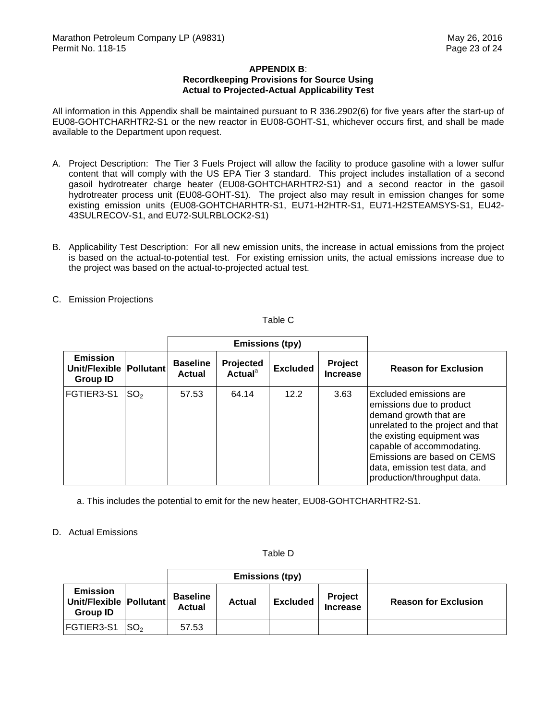## **Recordkeeping Provisions for Source Using Actual to Projected-Actual Applicability Test APPENDIX B**:

 All information in this Appendix shall be maintained pursuant to R 336.2902(6) for five years after the start-up of EU08-GOHTCHARHTR2-S1 or the new reactor in EU08-GOHT-S1, whichever occurs first, and shall be made available to the Department upon request.

- A. Project Description: The Tier 3 Fuels Project will allow the facility to produce gasoline with a lower sulfur content that will comply with the US EPA Tier 3 standard. This project includes installation of a second gasoil hydrotreater charge heater (EU08-GOHTCHARHTR2-S1) and a second reactor in the gasoil hydrotreater process unit (EU08-GOHT-S1). The project also may result in emission changes for some existing emission units (EU08-GOHTCHARHTR-S1, EU71-H2HTR-S1, EU71-H2STEAMSYS-S1, EU42- 43SULRECOV-S1, and EU72-SULRBLOCK2-S1)
- B. Applicability Test Description: For all new emission units, the increase in actual emissions from the project is based on the actual-to-potential test. For existing emission units, the actual emissions increase due to the project was based on the actual-to-projected actual test.
- C. Emission Projections

F

Table C

|                                                     |                  | <b>Emissions (tpy)</b>    |                                         |                 |                            |                                                                                                                                                                                                                                                                                    |
|-----------------------------------------------------|------------------|---------------------------|-----------------------------------------|-----------------|----------------------------|------------------------------------------------------------------------------------------------------------------------------------------------------------------------------------------------------------------------------------------------------------------------------------|
| <b>Emission</b><br>Unit/Flexible<br><b>Group ID</b> | <b>Pollutant</b> | <b>Baseline</b><br>Actual | Projected<br><b>Actual</b> <sup>a</sup> | <b>Excluded</b> | Project<br><b>Increase</b> | <b>Reason for Exclusion</b>                                                                                                                                                                                                                                                        |
| FGTIER3-S1                                          | SO <sub>2</sub>  | 57.53                     | 64.14                                   | 12.2            | 3.63                       | <b>Excluded emissions are</b><br>emissions due to product<br>demand growth that are<br>unrelated to the project and that<br>the existing equipment was<br>capable of accommodating.<br>Emissions are based on CEMS<br>data, emission test data, and<br>production/throughput data. |

a. This includes the potential to emit for the new heater, EU08-GOHTCHARHTR2-S1.

## D. Actual Emissions

Table D

| <b>Emissions (tpy)</b>                                        |                 |                                  |               |                 |                                   |                             |
|---------------------------------------------------------------|-----------------|----------------------------------|---------------|-----------------|-----------------------------------|-----------------------------|
| <b>Emission</b><br>Unit/Flexible Pollutant<br><b>Group ID</b> |                 | <b>Baseline</b><br><b>Actual</b> | <b>Actual</b> | <b>Excluded</b> | <b>Project</b><br><b>Increase</b> | <b>Reason for Exclusion</b> |
| <b>FGTIER3-S1</b>                                             | SO <sub>2</sub> | 57.53                            |               |                 |                                   |                             |